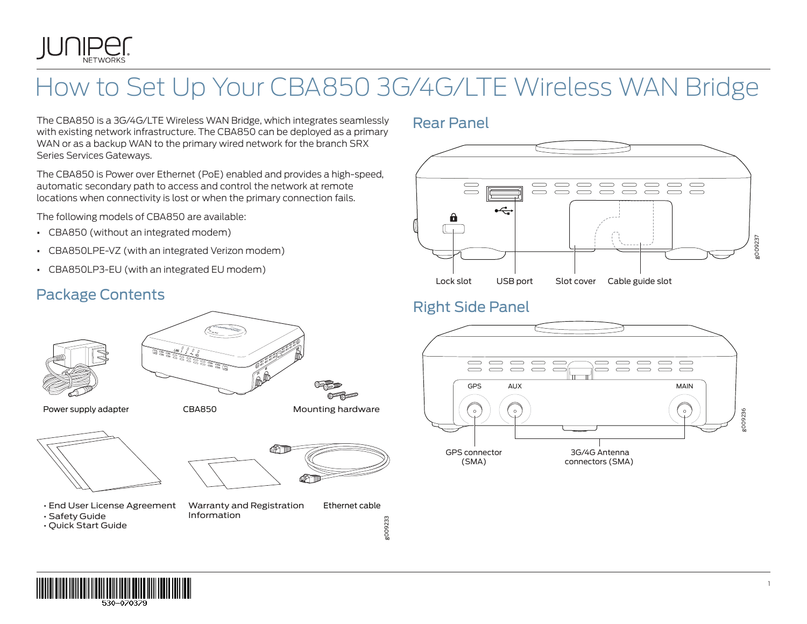

# How to Set Up Your CBA850 3G/4G/LTE Wireless WAN Bridge

The CBA850 is a 3G/4G/LTE Wireless WAN Bridge, which integrates seamlessly with existing network infrastructure. The CBA850 can be deployed as a primary WAN or as a backup WAN to the primary wired network for the branch SRX Series Services Gateways.

The CBA850 is Power over Ethernet (PoE) enabled and provides a high-speed, automatic secondary path to access and control the network at remote locations when connectivity is lost or when the primary connection fails.

The following models of CBA850 are available:

- **•** CBA850 (without an integrated modem)
- **•** CBA850LPE-VZ (with an integrated Verizon modem)
- **•** CBA850LP3-EU (with an integrated EU modem)

### Package Contents



Power supply adapter





- End User License Agreement
- Safety Guide
- Quick Start Guide
- Warranty and Registration Information Ethernet cable
	-

g009233

### Rear Panel



### Right Side Panel



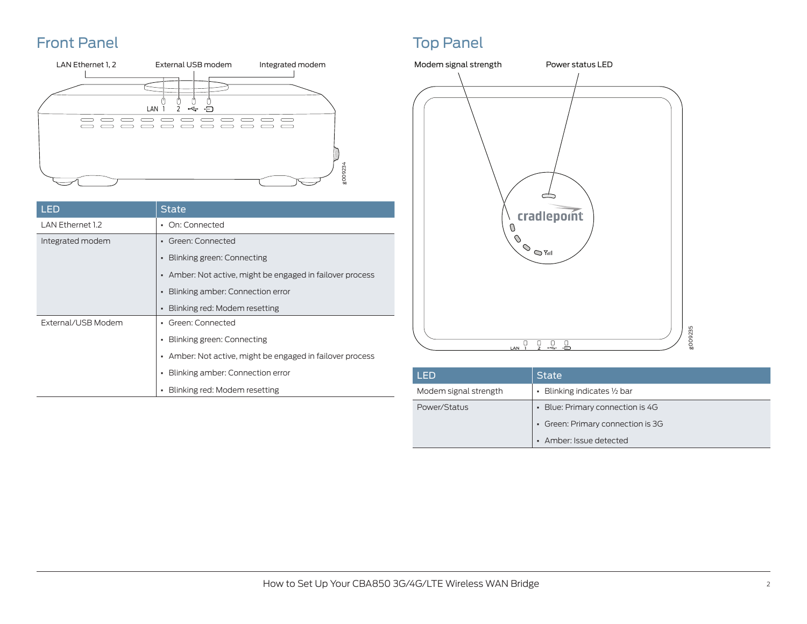### Front Panel **Top Panel** Top Panel Top Panel Top Panel Top Panel



| LED                | State                                                     |
|--------------------|-----------------------------------------------------------|
| LAN Ethernet 1.2   | • On: Connected                                           |
| Integrated modem   | • Green: Connected                                        |
|                    | • Blinking green: Connecting                              |
|                    | • Amber: Not active, might be engaged in failover process |
|                    | Blinking amber: Connection error<br>$\blacksquare$        |
|                    | Blinking red: Modem resetting                             |
| External/USB Modem | Green: Connected<br>$\blacksquare$                        |
|                    | Blinking green: Connecting<br>$\blacksquare$              |
|                    | • Amber: Not active, might be engaged in failover process |
|                    | Blinking amber: Connection error<br>٠                     |
|                    | Blinking red: Modem resetting                             |



| LED                   | <b>State</b>                      |
|-----------------------|-----------------------------------|
| Modem signal strength | • Blinking indicates 1/2 bar      |
| Power/Status          | • Blue: Primary connection is 4G  |
|                       | • Green: Primary connection is 3G |
|                       | • Amber: Issue detected           |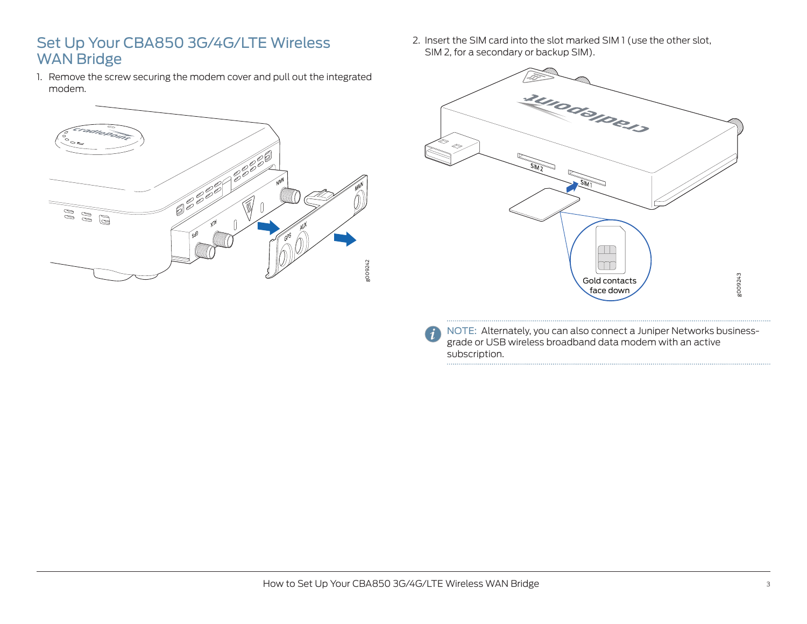### Set Up Your CBA850 3G/4G/LTE Wireless WAN Bridge

1. Remove the screw securing the modem cover and pull out the integrated modem.



2. Insert the SIM card into the slot marked SIM 1 (use the other slot, SIM 2, for a secondary or backup SIM).



NOTE: Alternately, you can also connect a Juniper Networks businessgrade or USB wireless broadband data modem with an active subscription.

 $(i$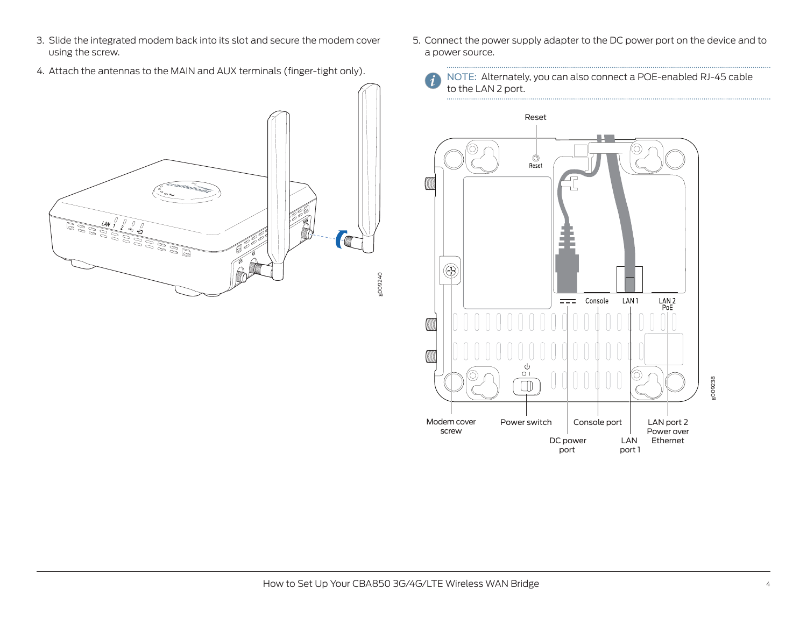- 3. Slide the integrated modem back into its slot and secure the modem cover using the screw.
- 4. Attach the antennas to the MAIN and AUX terminals (finger-tight only).



- 5. Connect the power supply adapter to the DC power port on the device and to a power source.
	- NOTE: Alternately, you can also connect a POE-enabled RJ-45 cable to the LAN 2 port.

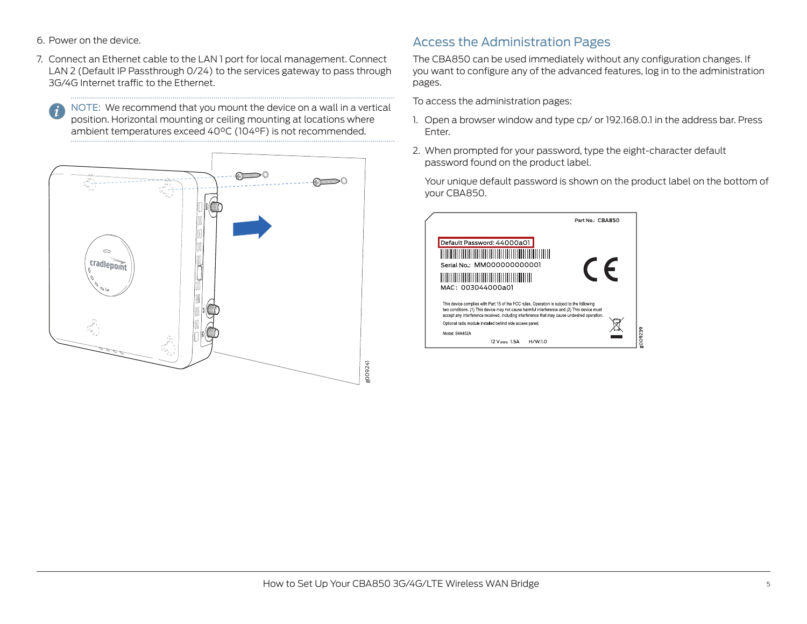- 6. Power on the device.
- 7. Connect an Ethernet cable to the LAN 1 port for local management. Connect LAN 2 (Default IP Passthrough 0/24) to the services gateway to pass through 3G/4G Internet traffic to the Ethernet.

NOTE: We recommend that you mount the device on a wall in a vertical position. Horizontal mounting or ceiling mounting at locations where ambient temperatures exceed 40°C (104°F) is not recommended.



### Access the Administration Pages

The CBA850 can be used immediately without any configuration changes. If you want to configure any of the advanced features, log in to the administration pages.

To access the administration pages:

- 1. Open a browser window and type cp/ or 192.168.0.1 in the address bar. Press Enter.
- 2. When prompted for your password, type the eight-character default password found on the product label.

Your unique default password is shown on the product label on the bottom of your CBA850.

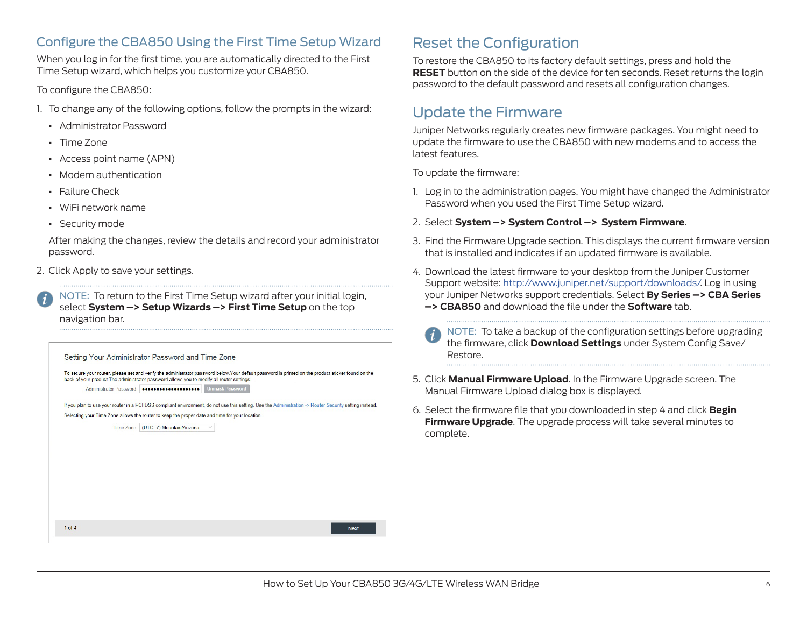### Configure the CBA850 Using the First Time Setup Wizard

When you log in for the first time, you are automatically directed to the First Time Setup wizard, which helps you customize your CBA850.

#### To configure the CBA850:

- 1. To change any of the following options, follow the prompts in the wizard:
	- **•** Administrator Password
	- **•** Time Zone
	- **•** Access point name (APN)
	- **•** Modem authentication
	- **•** Failure Check
	- **•** WiFi network name
	- **•** Security mode

After making the changes, review the details and record your administrator password.

2. Click Apply to save your settings.

NOTE: To return to the First Time Setup wizard after your initial login, select **System –> Setup Wizards –> First Time Setup** on the top navigation bar.



## Reset the Configuration

To restore the CBA850 to its factory default settings, press and hold the **RESET** button on the side of the device for ten seconds. Reset returns the login password to the default password and resets all configuration changes.

## Update the Firmware

Juniper Networks regularly creates new firmware packages. You might need to update the firmware to use the CBA850 with new modems and to access the latest features.

To update the firmware:

- 1. Log in to the administration pages. You might have changed the Administrator Password when you used the First Time Setup wizard.
- 2. Select **System –> System Control –> System Firmware**.
- 3. Find the Firmware Upgrade section. This displays the current firmware version that is installed and indicates if an updated firmware is available.
- 4. Download the latest firmware to your desktop from the Juniper Customer Support website: http://www.juniper.net/support/downloads/. Log in using your Juniper Networks support credentials. Select **By Series –> CBA Series –> CBA850** and download the file under the **Software** tab.
	- NOTE: To take a backup of the configuration settings before upgrading the firmware, click **Download Settings** under System Config Save/ Restore.
- 5. Click **Manual Firmware Upload**. In the Firmware Upgrade screen. The Manual Firmware Upload dialog box is displayed.
- 6. Select the firmware file that you downloaded in step 4 and click **Begin Firmware Upgrade**. The upgrade process will take several minutes to complete.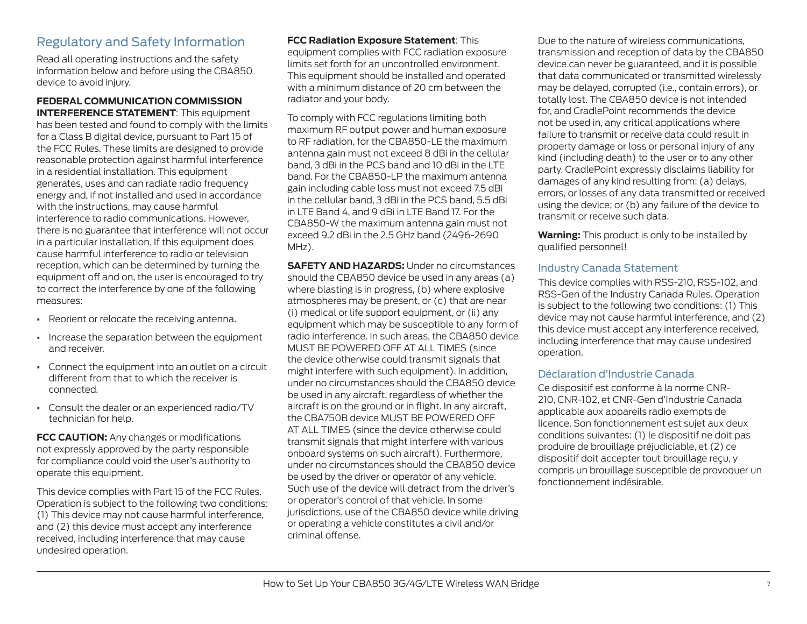#### Regulatory and Safety Information

Read all operating instructions and the safety information below and before using the CBA850 device to avoid injury.

#### **FEDERAL COMMUNICATION COMMISSION INTERFERENCE STATEMENT**: This equipment

has been tested and found to comply with the limits for a Class B digital device, pursuant to Part 15 of the FCC Rules. These limits are designed to provide reasonable protection against harmful interference in a residential installation. This equipment generates, uses and can radiate radio frequency energy and, if not installed and used in accordance with the instructions, may cause harmful interference to radio communications. However, there is no guarantee that interference will not occur in a particular installation. If this equipment does cause harmful interference to radio or television reception, which can be determined by turning the equipment off and on, the user is encouraged to try to correct the interference by one of the following measures:

- **•** Reorient or relocate the receiving antenna.
- **•** Increase the separation between the equipment and receiver.
- **•** Connect the equipment into an outlet on a circuit different from that to which the receiver is connected.
- **•** Consult the dealer or an experienced radio/TV technician for help.

**FCC CAUTION:** Any changes or modifications not expressly approved by the party responsible for compliance could void the user's authority to operate this equipment.

This device complies with Part 15 of the FCC Rules. Operation is subject to the following two conditions: (1) This device may not cause harmful interference, and (2) this device must accept any interference received, including interference that may cause undesired operation.

#### **FCC Radiation Exposure Statement**: This

equipment complies with FCC radiation exposure limits set forth for an uncontrolled environment. This equipment should be installed and operated with a minimum distance of 20 cm between the radiator and your body.

To comply with FCC regulations limiting both maximum RF output power and human exposure to RF radiation, for the CBA850-LE the maximum antenna gain must not exceed 8 dBi in the cellular band, 3 dBi in the PCS band and 10 dBi in the LTE band. For the CBA850-LP the maximum antenna gain including cable loss must not exceed 7.5 dBi in the cellular band, 3 dBi in the PCS band, 5.5 dBi in LTE Band 4, and 9 dBi in LTE Band 17. For the CBA850-W the maximum antenna gain must not exceed 9.2 dBi in the 2.5 GHz band (2496-2690 MHz).

**SAFETY AND HAZARDS:** Under no circumstances should the CBA850 device be used in any areas (a) where blasting is in progress, (b) where explosive atmospheres may be present, or (c) that are near (i) medical or life support equipment, or (ii) any equipment which may be susceptible to any form of radio interference. In such areas, the CBA850 device MUST BE POWERED OFF AT ALL TIMES (since the device otherwise could transmit signals that might interfere with such equipment). In addition, under no circumstances should the CBA850 device be used in any aircraft, regardless of whether the aircraft is on the ground or in flight. In any aircraft, the CBA750B device MUST BE POWERED OFF AT ALL TIMES (since the device otherwise could transmit signals that might interfere with various onboard systems on such aircraft). Furthermore, under no circumstances should the CBA850 device be used by the driver or operator of any vehicle. Such use of the device will detract from the driver's or operator's control of that vehicle. In some jurisdictions, use of the CBA850 device while driving or operating a vehicle constitutes a civil and/or criminal offense.

Due to the nature of wireless communications, transmission and reception of data by the CBA850 device can never be guaranteed, and it is possible that data communicated or transmitted wirelessly may be delayed, corrupted (i.e., contain errors), or totally lost. The CBA850 device is not intended for, and CradlePoint recommends the device not be used in, any critical applications where failure to transmit or receive data could result in property damage or loss or personal injury of any kind (including death) to the user or to any other party. CradlePoint expressly disclaims liability for damages of any kind resulting from: (a) delays, errors, or losses of any data transmitted or received using the device; or (b) any failure of the device to transmit or receive such data.

**Warning:** This product is only to be installed by qualified personnel!

#### Industry Canada Statement

This device complies with RSS-210, RSS-102, and RSS-Gen of the Industry Canada Rules. Operation is subject to the following two conditions: (1) This device may not cause harmful interference, and (2) this device must accept any interference received, including interference that may cause undesired operation.

#### Déclaration d'Industrie Canada

Ce dispositif est conforme à la norme CNR-210, CNR-102, et CNR-Gen d'Industrie Canada applicable aux appareils radio exempts de licence. Son fonctionnement est sujet aux deux conditions suivantes: (1) le dispositif ne doit pas produire de brouillage préjudiciable, et (2) ce dispositif doit accepter tout brouillage reçu, y compris un brouillage susceptible de provoquer un fonctionnement indésirable.